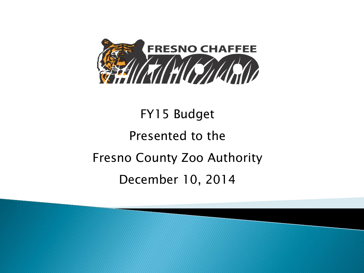

# FY15 Budget Presented to the Fresno County Zoo Authority December 10, 2014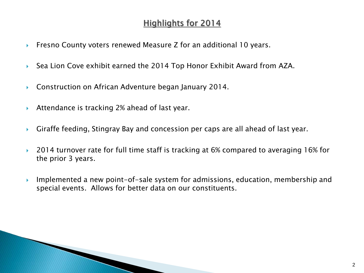# **Highlights for 2014**

- **Filter** Fresno County voters renewed Measure Z for an additional 10 years.
- ▶ Sea Lion Cove exhibit earned the 2014 Top Honor Exhibit Award from AZA.
- ▶ Construction on African Adventure began January 2014.
- ▶ Attendance is tracking 2% ahead of last year.

- Giraffe feeding, Stingray Bay and concession per caps are all ahead of last year.
- ▶ 2014 turnover rate for full time staff is tracking at 6% compared to averaging 16% for the prior 3 years.
- Implemented a new point-of-sale system for admissions, education, membership and special events. Allows for better data on our constituents.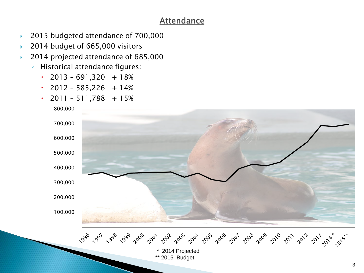# **Attendance**

- ▶ 2015 budgeted attendance of 700,000
- ▶ 2014 budget of 665,000 visitors
- ▶ 2014 projected attendance of 685,000
	- Historical attendance figures:
		- $\cdot$  2013 691,320 + 18%
		- $\cdot$  2012 585,226 + 14%
		- $\cdot$  2011 511,788 + 15%

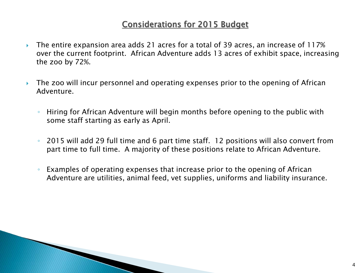# **Considerations for 2015 Budget**

- The entire expansion area adds 21 acres for a total of 39 acres, an increase of 117% over the current footprint. African Adventure adds 13 acres of exhibit space, increasing the zoo by 72%.
- The zoo will incur personnel and operating expenses prior to the opening of African Adventure.
	- Hiring for African Adventure will begin months before opening to the public with some staff starting as early as April.
	- 2015 will add 29 full time and 6 part time staff. 12 positions will also convert from part time to full time. A majority of these positions relate to African Adventure.
	- Examples of operating expenses that increase prior to the opening of African Adventure are utilities, animal feed, vet supplies, uniforms and liability insurance.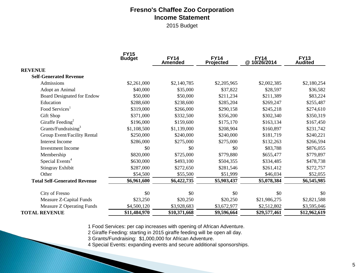#### **Fresno's Chaffee Zoo Corporation Income Statement**

2015 Budget

|                                     | <b>FY15</b><br><b>Budget</b> | <b>FY14</b><br><b>Amended</b> | <b>FY14</b><br>Projected | <b>FY14</b><br>@10/26/2014 | <b>FY13</b><br><b>Audited</b> |
|-------------------------------------|------------------------------|-------------------------------|--------------------------|----------------------------|-------------------------------|
| <b>REVENUE</b>                      |                              |                               |                          |                            |                               |
| <b>Self-Generated Revenue</b>       |                              |                               |                          |                            |                               |
| Admissions                          | \$2,261,000                  | \$2,140,785                   | \$2,205,965              | \$2,002,385                | \$2,180,254                   |
| Adopt an Animal                     | \$40,000                     | \$35,000                      | \$37,822                 | \$28,597                   | \$36,582                      |
| <b>Board Designated for Endow</b>   | \$50,000                     | \$50,000                      | \$211,234                | \$211,389                  | \$83,224                      |
| Education                           | \$288,600                    | \$238,600                     | \$285,204                | \$269,247                  | \$255,487                     |
| Food Services <sup>1</sup>          | \$319,000                    | \$266,000                     | \$290,158                | \$245,218                  | \$274,610                     |
| Gift Shop                           | \$371,000                    | \$332,500                     | \$356,200                | \$302,340                  | \$350,319                     |
| Giraffe Feeding <sup>2</sup>        | \$196,000                    | \$159,600                     | \$175,170                | \$163,134                  | \$167,450                     |
| Grants/Fundraising <sup>3</sup>     | \$1,108,500                  | \$1,139,000                   | \$208,904                | \$160,897                  | \$231,742                     |
| Group Event/Facility Rental         | \$250,000                    | \$240,000                     | \$240,000                | \$181,719                  | \$240,221                     |
| <b>Interest Income</b>              | \$286,000                    | \$275,000                     | \$275,000                | \$132,263                  | \$266,594                     |
| Investment Income                   | \$0                          | \$0                           | \$0                      | \$83,788                   | \$876,055                     |
| Membership                          | \$820,000                    | \$725,000                     | \$779,880                | \$655,477                  | \$779,897                     |
| Special Events <sup>4</sup>         | \$630,000                    | \$493,100                     | \$504,355                | \$334,485                  | \$478,738                     |
| Stingray Exhibit                    | \$287,000                    | \$272,650                     | \$281,546                | \$261,412                  | \$272,757                     |
| Other                               | \$54,500                     | \$55,500                      | \$51,999                 | \$46,034                   | \$52,055                      |
| <b>Total Self-Generated Revenue</b> | \$6,961,600                  | \$6,422,735                   | \$5,903,437              | \$5,078,384                | \$6,545,985                   |
| City of Fresno                      | \$0                          | \$0                           | \$0                      | \$0                        | \$0                           |
| Measure Z-Capital Funds             | \$23,250                     | \$20,250                      | \$20,250                 | \$21,986,275               | \$2,821,588                   |
| Measure Z Operating Funds           | \$4,500,120                  | \$3,928,683                   | \$3,672,977              | \$2,512,802                | \$3,595,046                   |
| <b>TOTAL REVENUE</b>                | \$11,484,970                 | \$10,371,668                  | \$9,596,664              | \$29,577,461               | \$12,962,619                  |

1 Food Services: per cap increases with opening of African Adventure.

2 Giraffe Feeding: starting in 2015 giraffe feeding will be open all day.

3 Grants/Fundraising: \$1,000,000 for African Adventure.

4 Special Events: expanding events and secure additional sponsorships.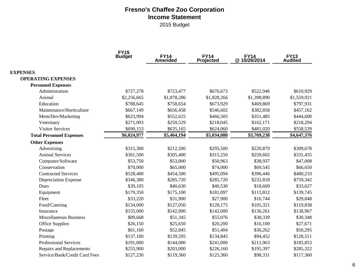## **Fresno's Chaffee Zoo Corporation Income Statement**

2015 Budget

| <b>FY15</b><br><b>Budget</b>    |             | FY14<br>Amended | <b>FY14</b><br>Projected | EY14<br>10/26/2014 @ | FY13<br>Audited |  |
|---------------------------------|-------------|-----------------|--------------------------|----------------------|-----------------|--|
| <b>EXPENSES</b>                 |             |                 |                          |                      |                 |  |
| <b>OPERATING EXPENSES</b>       |             |                 |                          |                      |                 |  |
| <b>Personnel Expenses</b>       |             |                 |                          |                      |                 |  |
| Administration                  | \$727,278   | \$723,477       | \$676,673                | \$522,946            | \$610,929       |  |
| Animal                          | \$2,256,665 | \$1,878,286     | \$1,828,266              | \$1,398,890          | \$1,559,921     |  |
| Education                       | \$788,645   | \$758,654       | \$673,929                | \$469,869            | \$797,931       |  |
| Maintenance/Horticulture        | \$667,149   | \$656,458       | \$546,602                | \$382,858            | \$457,162       |  |
| Mem/Dev/Marketing               | \$623,994   | \$552,625       | \$466,505                | \$351,485            | \$444,600       |  |
| Veterinary                      | \$271,093   | \$259,529       | \$218,045                | \$162,171            | \$218,294       |  |
| <b>Visitor Services</b>         | \$690,153   | \$635,165       | \$624,060                | \$481,020            | \$558,539       |  |
| <b>Total Personnel Expenses</b> | \$6,024,977 | \$5,464,194     | \$5,034,080              | \$3,769,238          | \$4,647,376     |  |
| <b>Other Expenses</b>           |             |                 |                          |                      |                 |  |
| Advertising                     | \$315,300   | \$212,500       | \$295,500                | \$220,870            | \$309,678       |  |
| <b>Animal Services</b>          | \$361,500   | \$305,400       | \$315,250                | \$259,602            | \$331,455       |  |
| Computer/Software               | \$53,750    | \$53,000        | \$50,963                 | \$38,937             | \$47,008        |  |
| Conservation                    | \$70,000    | \$65,000        | \$74,000                 | \$69,545             | \$66,650        |  |
| <b>Contracted Services</b>      | \$528,400   | \$454,500       | \$495,094                | \$396,446            | \$480,210       |  |
| Depreciation Expense            | \$346,380   | \$285,720       | \$285,720                | \$232,818            | \$759,342       |  |
| Dues                            | \$39,105    | \$40,630        | \$40,530                 | \$18,669             | \$33,627        |  |
| Equipment                       | \$179,350   | \$175,100       | \$181,097                | \$113,812            | \$139,745       |  |
| Fleet                           | \$33,220    | \$31,900        | \$27,900                 | \$16,744             | \$29,848        |  |
| Food/Catering                   | \$134,000   | \$127,050       | \$128,175                | \$105,321            | \$119,838       |  |
| Insurance                       | \$155,000   | \$142,000       | \$142,000                | \$130,261            | \$138,967       |  |
| <b>Miscellaneous Business</b>   | \$89,668    | \$51,345        | \$55,076                 | \$38,339             | \$30,348        |  |
| Office Supplies                 | \$26,150    | \$25,650        | \$20,200                 | \$16,100             | \$27,671        |  |
| Postage                         | \$61,160    | \$52,845        | \$51,404                 | \$36,262             | \$50,295        |  |
| Printing                        | \$137,100   | \$139,595       | \$134,845                | \$94,452             | \$128,511       |  |
| <b>Professional Services</b>    | \$191,000   | \$144,000       | \$241,000                | \$211,963            | \$185,853       |  |
| <b>Repairs and Replacements</b> | \$255,900   | \$203,000       | \$226,160                | \$195,397            | \$285,322       |  |
| Service/Bank/Credit Card Fees   | \$127,230   | \$119,360       | \$125,360                | \$98,331             | \$117,360       |  |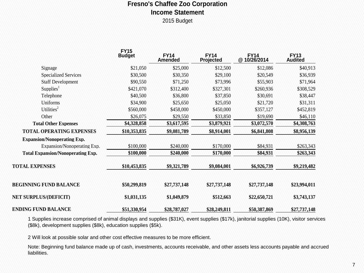## **Fresno's Chaffee Zoo Corporation Income Statement**

2015 Budget

|                                          | <b>FY15</b><br><b>Budget</b> | <b>FY14</b><br><b>Amended</b> | <b>FY14</b><br>Projected | EY14<br>@ 10/26/2014 | <b>FY13</b><br><b>Audited</b> |
|------------------------------------------|------------------------------|-------------------------------|--------------------------|----------------------|-------------------------------|
| Signage                                  | \$21,050                     | \$25,000                      | \$12,500                 | \$12,086             | \$40,913                      |
| <b>Specialized Services</b>              | \$30,500                     | \$30,350                      | \$29,100                 | \$20,549             | \$36,939                      |
| <b>Staff Development</b>                 | \$90,550                     | \$71,250                      | \$73,996                 | \$55,903             | \$71,964                      |
| Supplies <sup>1</sup>                    | \$421,070                    | \$312,400                     | \$327,301                | \$260,936            | \$308,529                     |
| Telephone                                | \$40,500                     | \$36,800                      | \$37,850                 | \$30,691             | \$38,447                      |
| Uniforms                                 | \$34,900                     | \$25,650                      | \$25,050                 | \$21,720             | \$31,311                      |
| Utilities <sup>2</sup>                   | \$560,000                    | \$458,000                     | \$450,000                | \$357,127            | \$452,819                     |
| Other                                    | \$26,075                     | \$29,550                      | \$33,850                 | \$19,690             | \$46,110                      |
| <b>Total Other Expenses</b>              | \$4,328,858                  | \$3,617,595                   | \$3,879,921              | \$3,072,570          | \$4,308,763                   |
| <b>TOTAL OPERATING EXPENSES</b>          | \$10,353,835                 | \$9,081,789                   | \$8,914,001              | \$6,841,808          | \$8,956,139                   |
| <b>Expansion/Nonoperating Exp.</b>       |                              |                               |                          |                      |                               |
| Expansion/Nonoperating Exp.              | \$100,000                    | \$240,000                     | \$170,000                | \$84,931             | \$263,343                     |
| <b>Total Expansion/Nonoperating Exp.</b> | \$100,000                    | \$240,000                     | \$170,000                | \$84,931             | \$263,343                     |
| <b>TOTAL EXPENSES</b>                    | \$10,453,835                 | \$9,321,789                   | \$9,084,001              | \$6,926,739          | \$9,219,482                   |
| <b>BEGINNING FUND BALANCE</b>            | \$50,299,819                 | \$27,737,148                  | \$27,737,148             | \$27,737,148         | \$23,994,011                  |
| <b>NET SURPLUS/(DEFICIT)</b>             | \$1,031,135                  | \$1,049,879                   | \$512,663                | \$22,650,721         | \$3,743,137                   |
| <b>ENDING FUND BALANCE</b>               | \$51,330,954                 | \$28,787,027                  | \$28,249,811             | \$50,387,869         | \$27,737,148                  |

1 Supplies increase comprised of animal displays and supplies (\$31K), event supplies (\$17k), janitorial supplies (10K), visitor services (\$8k), development supplies (\$8k), education supplies (\$5k).

2 Will look at possible solar and other cost effective measures to be more efficient.

Note: Beginning fund balance made up of cash, investments, accounts receivable, and other assets less accounts payable and accrued liabilities.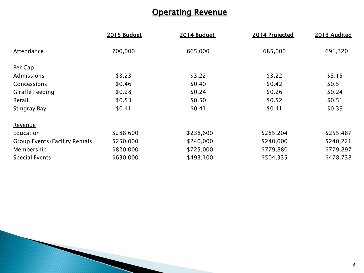# **Operating Revenue**

| 2015 Budget | 2014 Budget | 2014 Projected | 2013 Audited |
|-------------|-------------|----------------|--------------|
| 700,000     | 665,000     | 685,000        | 691,320      |
|             |             |                |              |
| \$3.23      | \$3.22      | \$3.22         | \$3.15       |
| \$0.46      | \$0.40      | \$0.42         | \$0.51       |
| \$0.28      | \$0.24      | \$0.26         | \$0.24       |
| \$0.53      | \$0.50      | \$0.52         | \$0.51       |
| \$0.41      | \$0.41      | \$0.41         | \$0.39       |
|             |             |                |              |
| \$288,600   | \$238,600   | \$285,204      | \$255,487    |
| \$250,000   | \$240,000   | \$240,000      | \$240,221    |
| \$820,000   | \$725,000   | \$779,880      | \$779,897    |
| \$630,000   | \$493,100   | \$504,335      | \$478,738    |
|             |             |                |              |

**Property**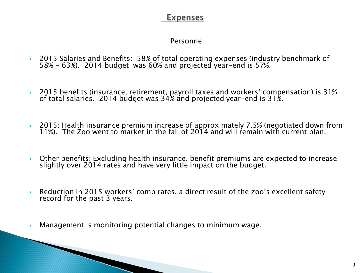# **Expenses**

## Personnel

- 2015 Salaries and Benefits: 58% of total operating expenses (industry benchmark of 58% - 63%). 2014 budget was 60% and projected year-end is 57%.
- 2015 benefits (insurance, retirement, payroll taxes and workers' compensation) is 31% of total salaries. 2014 budget was 34% and projected year-end is 31%.
- 2015: Health insurance premium increase of approximately 7.5% (negotiated down from 11%). The Zoo went to market in the fall of 2014 and will remain with current plan.
- Other benefits: Excluding health insurance, benefit premiums are expected to increase slightly over 2014 rates and have very little impact on the budget.
- Reduction in 2015 workers' comp rates, a direct result of the zoo's excellent safety record for the past 3 years.
- Management is monitoring potential changes to minimum wage.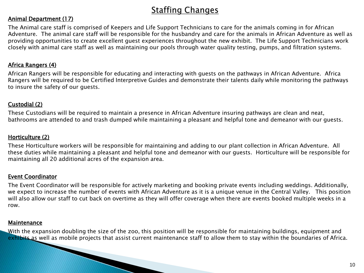# **Staffing Changes**

#### Animal Department (17)

The Animal care staff is comprised of Keepers and Life Support Technicians to care for the animals coming in for African Adventure. The animal care staff will be responsible for the husbandry and care for the animals in African Adventure as well as providing opportunities to create excellent guest experiences throughout the new exhibit. The Life Support Technicians work closely with animal care staff as well as maintaining our pools through water quality testing, pumps, and filtration systems.

#### Africa Rangers (4)

African Rangers will be responsible for educating and interacting with guests on the pathways in African Adventure. Africa Rangers will be required to be Certified Interpretive Guides and demonstrate their talents daily while monitoring the pathways to insure the safety of our guests.

#### Custodial (2)

These Custodians will be required to maintain a presence in African Adventure insuring pathways are clean and neat, bathrooms are attended to and trash dumped while maintaining a pleasant and helpful tone and demeanor with our guests.

#### Horticulture (2)

These Horticulture workers will be responsible for maintaining and adding to our plant collection in African Adventure. All these duties while maintaining a pleasant and helpful tone and demeanor with our guests. Horticulture will be responsible for maintaining all 20 additional acres of the expansion area.

#### Event Coordinator

The Event Coordinator will be responsible for actively marketing and booking private events including weddings. Additionally, we expect to increase the number of events with African Adventure as it is a unique venue in the Central Valley. This position will also allow our staff to cut back on overtime as they will offer coverage when there are events booked multiple weeks in a row.

#### Maintenance

With the expansion doubling the size of the zoo, this position will be responsible for maintaining buildings, equipment and exhibits as well as mobile projects that assist current maintenance staff to allow them to stay within the boundaries of Africa.<br>And the boundaries of Africa.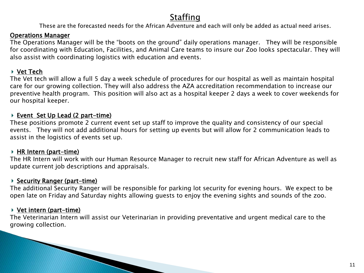# **Staffing**

These are the forecasted needs for the African Adventure and each will only be added as actual need arises.

#### Operations Manager

The Operations Manager will be the "boots on the ground" daily operations manager. They will be responsible for coordinating with Education, Facilities, and Animal Care teams to insure our Zoo looks spectacular. They will also assist with coordinating logistics with education and events.

#### Vet Tech

The Vet tech will allow a full 5 day a week schedule of procedures for our hospital as well as maintain hospital care for our growing collection. They will also address the AZA accreditation recommendation to increase our preventive health program. This position will also act as a hospital keeper 2 days a week to cover weekends for our hospital keeper.

#### ▶ Event Set Up Lead (2 part-time)

These positions promote 2 current event set up staff to improve the quality and consistency of our special events. They will not add additional hours for setting up events but will allow for 2 communication leads to assist in the logistics of events set up.

#### $\triangleright$  HR Intern (part-time)

The HR Intern will work with our Human Resource Manager to recruit new staff for African Adventure as well as update current job descriptions and appraisals.

#### $\triangleright$  Security Ranger (part-time)

<u> The Communication of the Communication of the Communication of the Communication of the Communication of the Communication of the Communication of the Communication of the Communication of the Communication of the Commun</u>

The additional Security Ranger will be responsible for parking lot security for evening hours. We expect to be open late on Friday and Saturday nights allowing guests to enjoy the evening sights and sounds of the zoo.

#### $\triangleright$  Vet intern (part-time)

The Veterinarian Intern will assist our Veterinarian in providing preventative and urgent medical care to the growing collection.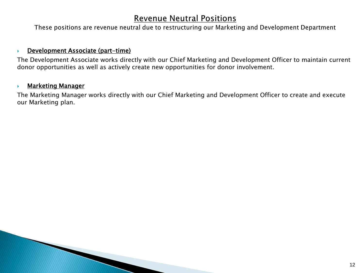## **Revenue Neutral Positions**

These positions are revenue neutral due to restructuring our Marketing and Development Department

#### **Development Associate (part-time)**

The Development Associate works directly with our Chief Marketing and Development Officer to maintain current donor opportunities as well as actively create new opportunities for donor involvement.

#### **Marketing Manager**

The Marketing Manager works directly with our Chief Marketing and Development Officer to create and execute our Marketing plan.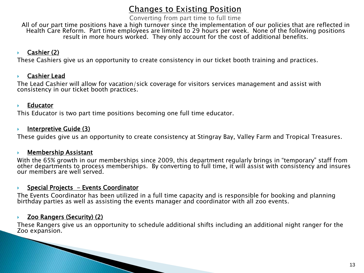# **Changes to Existing Position**

Converting from part time to full time

All of our part time positions have a high turnover since the implementation of our policies that are reflected in Health Care Reform. Part time employees are limited to 29 hours per week. None of the following positions result in more hours worked. They only account for the cost of additional benefits.

### $\triangleright$  Cashier (2)

These Cashiers give us an opportunity to create consistency in our ticket booth training and practices.

#### Cashier Lead

The Lead Cashier will allow for vacation/sick coverage for visitors services management and assist with consistency in our ticket booth practices.

#### $\blacktriangleright$  Educator

This Educator is two part time positions becoming one full time educator.

#### $\blacktriangleright$  Interpretive Guide (3)

These guides give us an opportunity to create consistency at Stingray Bay, Valley Farm and Tropical Treasures.

#### Membership Assistant

With the 65% growth in our memberships since 2009, this department regularly brings in "temporary" staff from<br>other departments to process memberships. By converting to full time, it will assist with consistency and insure our members are well served.

#### $\triangleright$  Special Projects - Events Coordinator

The Events Coordinator has been utilized in a full time capacity and is responsible for booking and planning<br>birthday parties as well as assisting the events manager and coordinator with all zoo events.

#### ▶ Zoo Rangers (Security) (2)

These Rangers give us an opportunity to schedule additional shifts including an additional night ranger for the Zoo expansion.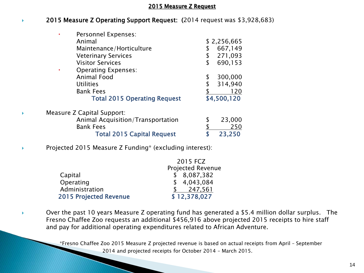#### 2015 Measure Z Request

#### ◆ 2015 Measure Z Operating Support Request: (2014 request was \$3,928,683)

| Personnel Expenses:                     |               |
|-----------------------------------------|---------------|
| Animal                                  | \$2,256,665   |
| Maintenance/Horticulture                | 667,149       |
| <b>Veterinary Services</b>              | 271,093       |
| <b>Visitor Services</b>                 | \$<br>690,153 |
| <b>Operating Expenses:</b><br>$\bullet$ |               |
| Animal Food                             | \$<br>300,000 |
| <b>Utilities</b>                        | 314,940       |
| <b>Bank Fees</b>                        | 120           |
| <b>Total 2015 Operating Request</b>     | \$4,500,120   |
| Measure Z Capital Support:              |               |
| Animal Acquisition/Transportation       | \$<br>23,000  |
| <b>Bank Fees</b>                        | 250           |
| <b>Total 2015 Capital Request</b>       | 23,250        |

**Projected 2015 Measure Z Funding**\* (excluding interest):

|                               | 2015 FCZ                 |
|-------------------------------|--------------------------|
|                               | <b>Projected Revenue</b> |
| Capital                       | \$8,087,382              |
| Operating                     | \$4,043,084              |
| Administration                | 247,561                  |
| <b>2015 Projected Revenue</b> | \$12,378,027             |

 Over the past 10 years Measure Z operating fund has generated a \$5.4 million dollar surplus. The Fresno Chaffee Zoo requests an additional \$456,916 above projected 2015 receipts to hire staff and pay for additional operating expenditures related to African Adventure.

> \*Fresno Chaffee Zoo 2015 Measure Z projected revenue is based on actual receipts from April – September 2014 and projected receipts for October 2014 – March 2015.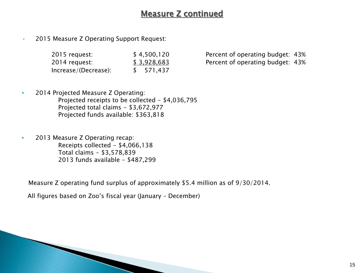# Measure Z continued

• 2015 Measure Z Operating Support Request:

| 2015 request:        | \$4,500,120 |
|----------------------|-------------|
| 2014 request:        | \$3,928,683 |
| Increase/(Decrease): | \$571,437   |

Percent of operating budget: 43% Percent of operating budget: 43%

- 2014 Projected Measure Z Operating: Projected receipts to be collected - \$4,036,795 Projected total claims - \$3,672,977 Projected funds available: \$363,818
- 2013 Measure Z Operating recap: Receipts collected - \$4,066,138 Total claims - \$3,578,839 2013 funds available - \$487,299

Measure Z operating fund surplus of approximately \$5.4 million as of 9/30/2014.

All figures based on Zoo's fiscal year (January – December)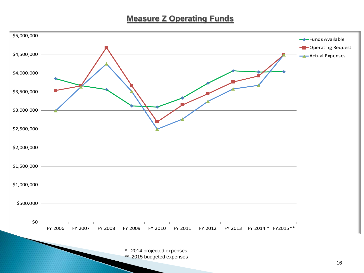# **Measure Z Operating Funds**



2014 projected expenses \*\* 2015 budgeted expenses